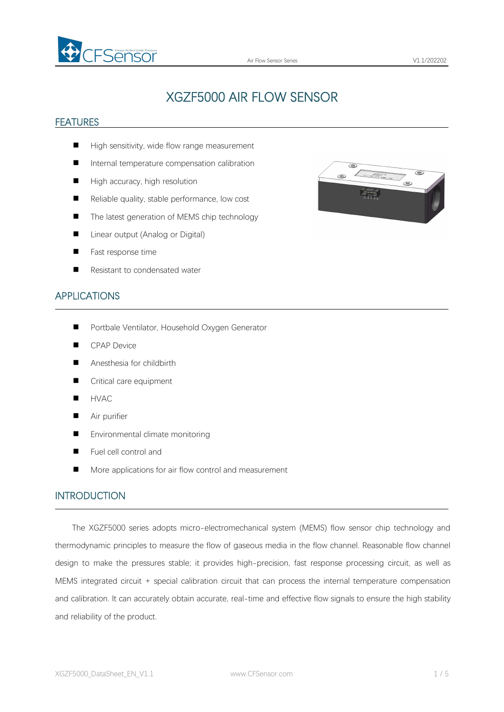

# XGZF5000 AIR FLOW SENSOR

#### **FEATURES**

- High sensitivity, wide flow range measurement
- Internal temperature compensation calibration
- $\blacksquare$  High accuracy, high resolution
- $\blacksquare$  Reliable quality, stable performance, low cost
- The latest generation of MEMS chip technology
- Linear output (Analog or Digital)
- **Fast response time**
- Resistant to condensated water



 $\circledcirc$ 

#### APPLICATIONS

- **Portbale Ventilator, Household Oxygen Generator**
- **CPAP Device**
- Anesthesia for childbirth
- Critical care equipment
- **HVAC**
- **Air purifier**
- Environmental climate monitoring
- Fuel cell control and
- More applications for air flow control and measurement

#### INTRODUCTION

The XGZF5000 series adopts micro-electromechanical system (MEMS) flow sensor chip technology and thermodynamic principles to measure the flow of gaseous media in the flow channel. Reasonable flow channel design to make the pressures stable; it provides high-precision, fast response processing circuit, as well as MEMS integrated circuit + special calibration circuit that can process the internal temperature compensation and calibration. It can accurately obtain accurate, real-time and effective flow signals to ensure the high stability and reliability of the product.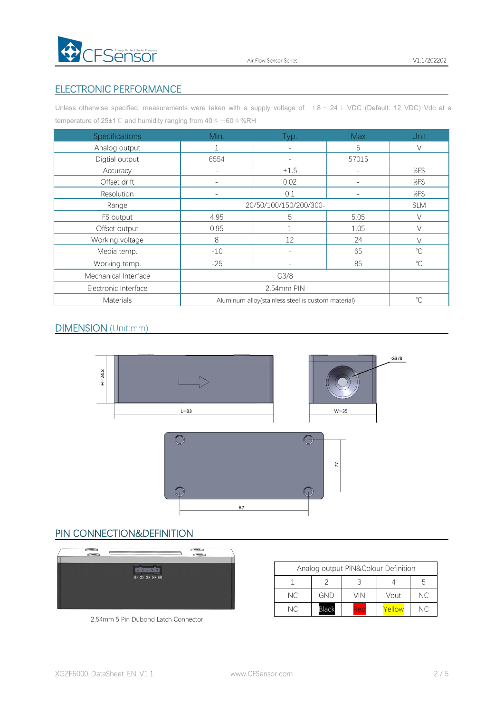

### ELECTRONIC PERFORMANCE

Unless otherwise specified, measurements were taken with a supply voltage of  $( 8 \sim 24)$  VDC (Default: 12 VDC) Vdc at a temperature of 25±1℃ and humidity ranging from 40 % ~60 % %RH

| Specifications       | Min.                                               | Typ.                     | <b>Max</b>               | <b>Unit</b>          |
|----------------------|----------------------------------------------------|--------------------------|--------------------------|----------------------|
| Analog output        |                                                    | $\sim$                   | 5                        | $\vee$               |
| Digtial output       | 6554                                               | $\overline{\phantom{a}}$ | 57015                    |                      |
| Accuracy             |                                                    | $\pm 1.5$                | $\overline{\phantom{a}}$ | %FS                  |
| Offset drift         | $\overline{\phantom{a}}$                           | 0.02                     | $\overline{\phantom{a}}$ | %FS                  |
| Resolution           |                                                    | 0.1                      | -                        | %FS                  |
| Range                | 20/50/100/150/200/300-                             |                          |                          | <b>SLM</b>           |
| FS output            | 4.95                                               | 5                        | 5.05                     | $\vee$               |
| Offset output        | 0.95                                               |                          | 1.05                     | $\vee$               |
| Working voltage      | 8                                                  | 12                       | 24                       | $\setminus$          |
| Media temp.          | $-10$                                              | $\overline{\phantom{a}}$ | 65                       | $\sqrt{\phantom{a}}$ |
| Working temp.        | $-25$                                              | $\overline{\phantom{a}}$ | 85                       | $^{\circ}$ C         |
| Mechanical Interface | G3/8                                               |                          |                          |                      |
| Electronic Interface | 2.54mm PIN                                         |                          |                          |                      |
| Materials            | Aluminum alloy(stainless steel is custom material) |                          |                          | $^{\circ}C$          |

#### DIMENSION (Unit:mm)



#### PIN CONNECTION&DEFINITION



| 2.54mm 5 Pin Dubond Latch Connector |  |  |  |  |
|-------------------------------------|--|--|--|--|
|-------------------------------------|--|--|--|--|

| Analog output PIN&Colour Definition |           |              |            |        |     |
|-------------------------------------|-----------|--------------|------------|--------|-----|
|                                     |           |              |            |        | b   |
|                                     | NC.       | GND          | VIN.       | Vout   | NC. |
|                                     | <b>NC</b> | <b>Black</b> | <b>Red</b> | Yellow | NC. |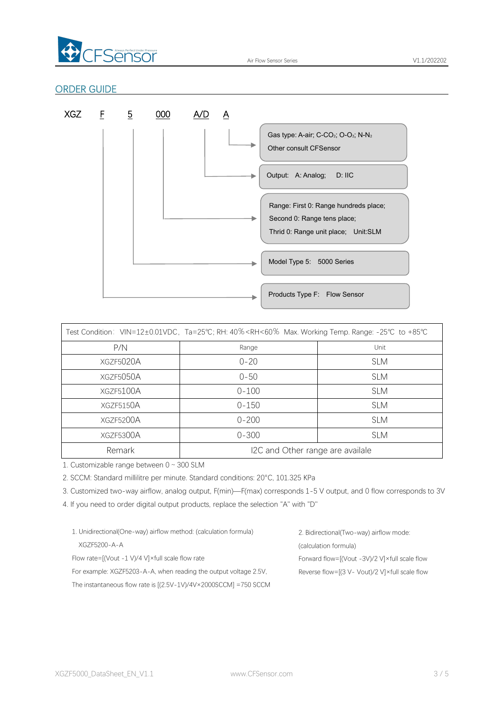

#### ORDER GUIDE



|           | Test Condition: VIN=12±0.01VDC, Ta=25℃; RH: 40% <rh<60% +85℃<="" -25℃="" max.="" range:="" temp.="" th="" to="" working=""><th></th></rh<60%> |            |
|-----------|-----------------------------------------------------------------------------------------------------------------------------------------------|------------|
| P/N       | Range                                                                                                                                         | Unit       |
| XGZF5020A | $0 - 20$                                                                                                                                      | <b>SLM</b> |
| XGZF5050A | $0 - 50$                                                                                                                                      | <b>SLM</b> |
| XGZF5100A | $0 - 100$                                                                                                                                     | <b>SLM</b> |
| XGZF5150A | $0 - 150$                                                                                                                                     | <b>SLM</b> |
| XGZF5200A | $0 - 200$                                                                                                                                     | <b>SLM</b> |
| XGZF5300A | $0 - 300$                                                                                                                                     | <b>SLM</b> |
| Remark    | I2C and Other range are availale                                                                                                              |            |

1. Customizable range between 0~300 SLM

2. SCCM: Standard millilitre per minute. Standard conditions: 20°C, 101.325 KPa

3. Customized two-way airflow, analog output, F(min)—F(max) corresponds 1-5 V output, and 0 flow correspondsto 3V

4. If you need to order digital output products, replace the selection "A" with "D"

| 1. Unidirectional (One-way) airflow method: (calculation formula)          | 2. Bidirectional (Two-way) airflow mode:                  |
|----------------------------------------------------------------------------|-----------------------------------------------------------|
| XG7F5200-A-A                                                               | (calculation formula)                                     |
| Flow rate= $[(Vout -1 V)/4 V] \times full scale flow rate$                 | Forward flow= $[(Vout - 3V)/2 V] \times full scale flow$  |
| For example: XGZF5203-A-A, when reading the output voltage 2.5V,           | Reverse flow= $[(3 V - Vout)/2 V] \times full scale flow$ |
| The instantaneous flow rate is $[(2.5V-1V)/4V \times 2000SCCM] = 750 SCCM$ |                                                           |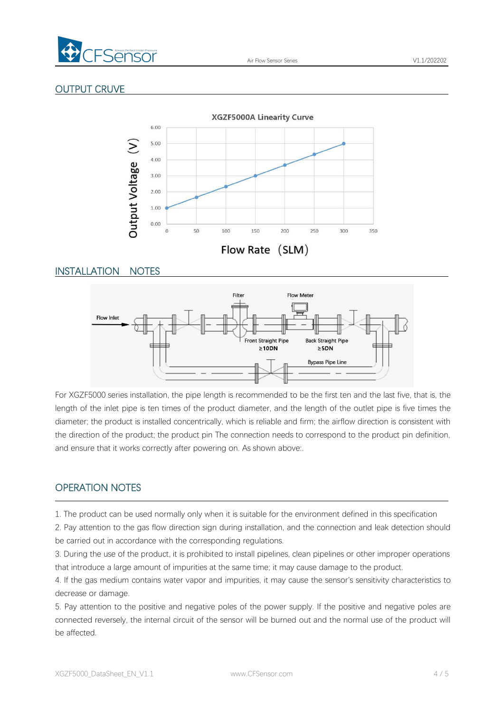

## OUTPUT CRUVE



### INSTALLATION NOTES



For XGZF5000 series installation, the pipe length is recommended to be the first ten and the last five, that is, the length of the inlet pipe is ten times of the product diameter, and the length of the outlet pipe is five times the diameter; the product is installed concentrically, which is reliable and firm; the airflow direction is consistent with the direction of the product; the product pin The connection needs to correspond to the product pin definition, and ensure that it works correctly after powering on. As shown above:.

## OPERATION NOTES

1. The product can be used normally only when it is suitable for the environment defined in this specification

2. Pay attention to the gas flow direction sign during installation, and the connection and leak detection should be carried out in accordance with the corresponding regulations.

3. During the use of the product, it is prohibited to install pipelines, clean pipelines or other improper operations that introduce a large amount of impurities at the same time; it may cause damage to the product.

4. If the gas medium contains water vapor and impurities, it may cause the sensor's sensitivity characteristics to decrease or damage.

5. Pay attention to the positive and negative poles of the power supply. If the positive and negative poles are connected reversely, the internal circuit of the sensor will be burned out and the normal use of the product will be affected.